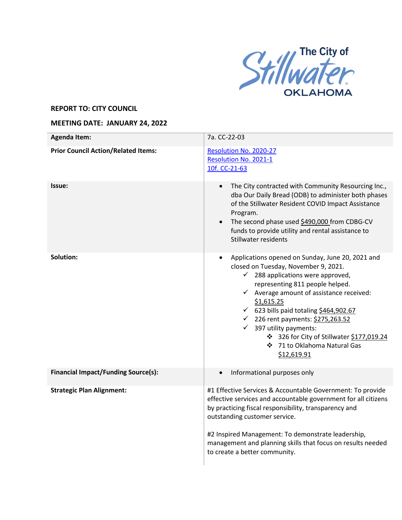

## **REPORT TO: CITY COUNCIL**

## **MEETING DATE: JANUARY 24, 2022**

| <b>Agenda Item:</b>                        | 7a. CC-22-03                                                                                                                                                                                                                                                                                                                                                                                                                                                                 |
|--------------------------------------------|------------------------------------------------------------------------------------------------------------------------------------------------------------------------------------------------------------------------------------------------------------------------------------------------------------------------------------------------------------------------------------------------------------------------------------------------------------------------------|
| <b>Prior Council Action/Related Items:</b> | Resolution No. 2020-27<br>Resolution No. 2021-1<br>10f. CC-21-63                                                                                                                                                                                                                                                                                                                                                                                                             |
| Issue:                                     | The City contracted with Community Resourcing Inc.,<br>dba Our Daily Bread (ODB) to administer both phases<br>of the Stillwater Resident COVID Impact Assistance<br>Program.<br>The second phase used \$490,000 from CDBG-CV<br>funds to provide utility and rental assistance to<br>Stillwater residents                                                                                                                                                                    |
| Solution:                                  | Applications opened on Sunday, June 20, 2021 and<br>closed on Tuesday, November 9, 2021.<br>$\checkmark$ 288 applications were approved,<br>representing 811 people helped.<br>$\checkmark$ Average amount of assistance received:<br>\$1,615.25<br>$\checkmark$ 623 bills paid totaling \$464,902.67<br>√ 226 rent payments: \$275,263.52<br>$\checkmark$ 397 utility payments:<br>❖ 326 for City of Stillwater \$177,019.24<br>❖ 71 to Oklahoma Natural Gas<br>\$12,619.91 |
| <b>Financial Impact/Funding Source(s):</b> | Informational purposes only                                                                                                                                                                                                                                                                                                                                                                                                                                                  |
| <b>Strategic Plan Alignment:</b>           | #1 Effective Services & Accountable Government: To provide<br>effective services and accountable government for all citizens<br>by practicing fiscal responsibility, transparency and<br>outstanding customer service.<br>#2 Inspired Management: To demonstrate leadership,<br>management and planning skills that focus on results needed<br>to create a better community.                                                                                                 |